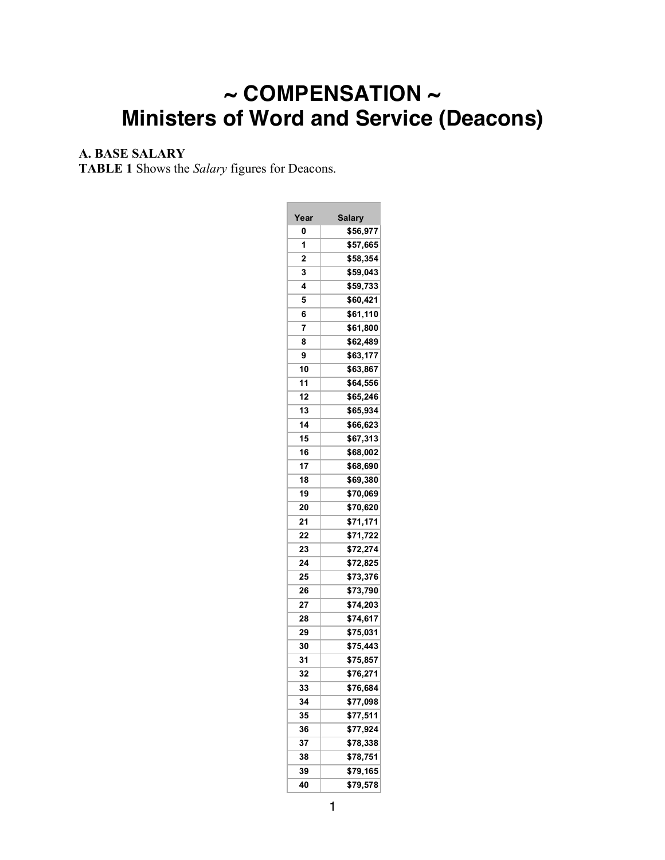# **~ COMPENSATION ~ Ministers of Word and Service (Deacons)**

**Contract Contract Contract** 

# **A. BASE SALARY**

**TABLE 1** Shows the *Salary* figures for Deacons.

| Year | <b>Salary</b>         |  |  |  |
|------|-----------------------|--|--|--|
| 0    | \$56,977              |  |  |  |
| 1    | \$57,665              |  |  |  |
| 2    | \$58,354              |  |  |  |
| 3    | \$59,043              |  |  |  |
| 4    | \$59,733              |  |  |  |
| 5    | \$60,421              |  |  |  |
| 6    | \$61,110              |  |  |  |
| 7    | \$61,800              |  |  |  |
| 8    | \$62,489              |  |  |  |
| 9    | \$63,177              |  |  |  |
| 10   | \$63,867              |  |  |  |
| 11   | \$64,556              |  |  |  |
| 12   | \$65,246              |  |  |  |
| 13   | \$65,934              |  |  |  |
| 14   | \$66,623              |  |  |  |
| 15   | \$67,313              |  |  |  |
| 16   | \$68,002              |  |  |  |
| 17   | \$68,690              |  |  |  |
| 18   | \$69,380              |  |  |  |
| 19   | \$70,069              |  |  |  |
| 20   | \$70,620              |  |  |  |
| 21   | \$71,171              |  |  |  |
| 22   | \$71,722              |  |  |  |
| 23   | \$72,274              |  |  |  |
| 24   | \$72,825              |  |  |  |
| 25   | \$73,376              |  |  |  |
| 26   | \$73,790              |  |  |  |
| 27   | \$74,203              |  |  |  |
| 28   | \$74,617              |  |  |  |
| 29   | \$75,031              |  |  |  |
| 30   | \$75,443              |  |  |  |
| 31   | \$75,857              |  |  |  |
| 32   | \$76,271              |  |  |  |
| 33   | \$76,684              |  |  |  |
| 34   | \$77,098              |  |  |  |
| 35   | \$77,511              |  |  |  |
| 36   | \$77,924              |  |  |  |
| 37   | \$78,338              |  |  |  |
| 38   | $\overline{\$78,751}$ |  |  |  |
| 39   | \$79,165              |  |  |  |
| 40   | \$79,578              |  |  |  |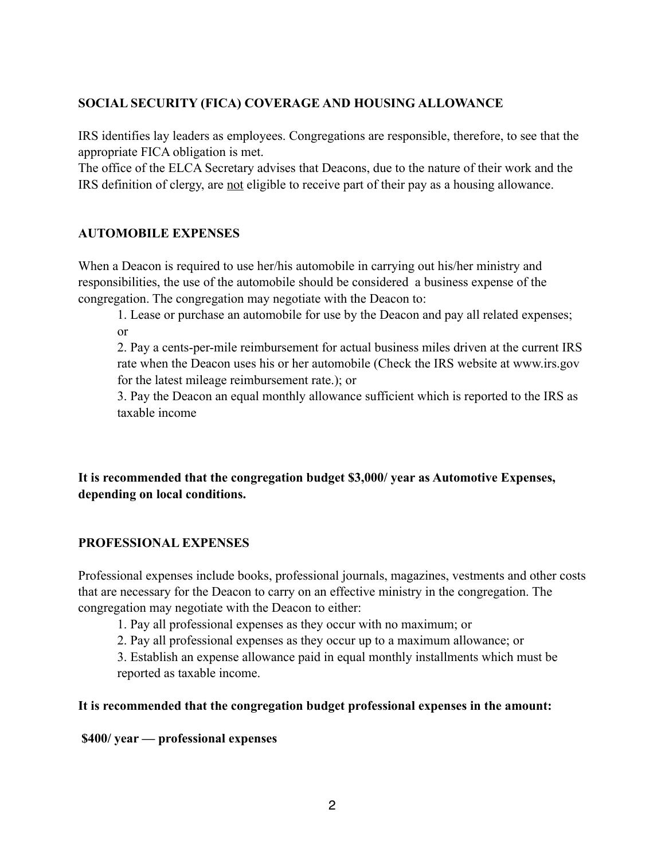#### **SOCIAL SECURITY (FICA) COVERAGE AND HOUSING ALLOWANCE**

IRS identifies lay leaders as employees. Congregations are responsible, therefore, to see that the appropriate FICA obligation is met.

The office of the ELCA Secretary advises that Deacons, due to the nature of their work and the IRS definition of clergy, are not eligible to receive part of their pay as a housing allowance.

#### **AUTOMOBILE EXPENSES**

When a Deacon is required to use her/his automobile in carrying out his/her ministry and responsibilities, the use of the automobile should be considered a business expense of the congregation. The congregation may negotiate with the Deacon to:

1. Lease or purchase an automobile for use by the Deacon and pay all related expenses; or

2. Pay a cents-per-mile reimbursement for actual business miles driven at the current IRS rate when the Deacon uses his or her automobile (Check the IRS website at www.irs.gov for the latest mileage reimbursement rate.); or

3. Pay the Deacon an equal monthly allowance sufficient which is reported to the IRS as taxable income

# **It is recommended that the congregation budget \$3,000/ year as Automotive Expenses, depending on local conditions.**

#### **PROFESSIONAL EXPENSES**

Professional expenses include books, professional journals, magazines, vestments and other costs that are necessary for the Deacon to carry on an effective ministry in the congregation. The congregation may negotiate with the Deacon to either:

1. Pay all professional expenses as they occur with no maximum; or

2. Pay all professional expenses as they occur up to a maximum allowance; or

3. Establish an expense allowance paid in equal monthly installments which must be reported as taxable income.

#### **It is recommended that the congregation budget professional expenses in the amount:**

 **\$400/ year — professional expenses**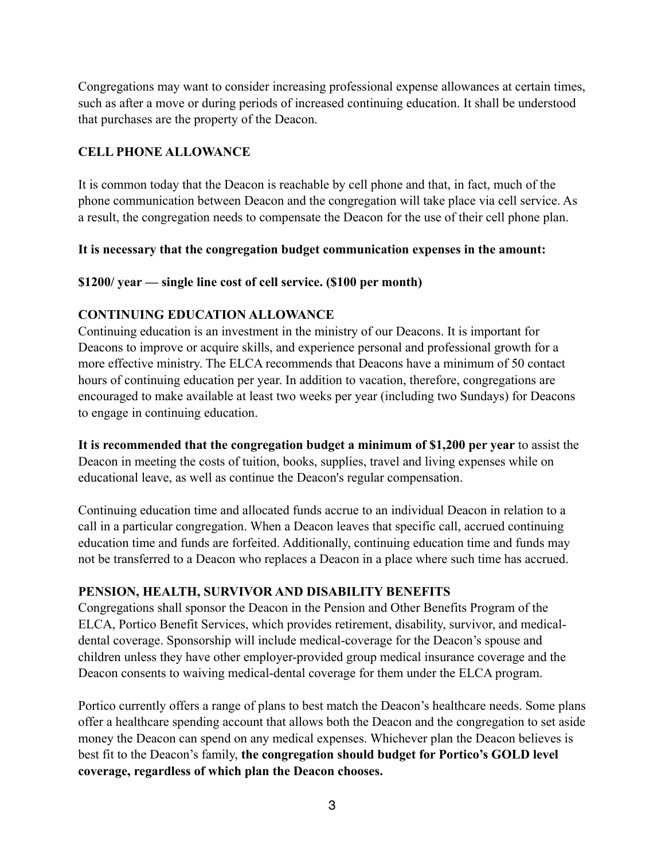Congregations may want to consider increasing professional expense allowances at certain times, such as after a move or during periods of increased continuing education. It shall be understood that purchases are the property of the Deacon.

# **CELL PHONE ALLOWANCE**

It is common today that the Deacon is reachable by cell phone and that, in fact, much of the phone communication between Deacon and the congregation will take place via cell service. As a result, the congregation needs to compensate the Deacon for the use of their cell phone plan.

#### **It is necessary that the congregation budget communication expenses in the amount:**

#### **\$1200/ year — single line cost of cell service. (\$100 per month)**

#### **CONTINUING EDUCATION ALLOWANCE**

Continuing education is an investment in the ministry of our Deacons. It is important for Deacons to improve or acquire skills, and experience personal and professional growth for a more effective ministry. The ELCA recommends that Deacons have a minimum of 50 contact hours of continuing education per year. In addition to vacation, therefore, congregations are encouraged to make available at least two weeks per year (including two Sundays) for Deacons to engage in continuing education.

**It is recommended that the congregation budget a minimum of \$1,200 per year** to assist the Deacon in meeting the costs of tuition, books, supplies, travel and living expenses while on educational leave, as well as continue the Deacon's regular compensation.

Continuing education time and allocated funds accrue to an individual Deacon in relation to a call in a particular congregation. When a Deacon leaves that specific call, accrued continuing education time and funds are forfeited. Additionally, continuing education time and funds may not be transferred to a Deacon who replaces a Deacon in a place where such time has accrued.

# **PENSION, HEALTH, SURVIVOR AND DISABILITY BENEFITS**

Congregations shall sponsor the Deacon in the Pension and Other Benefits Program of the ELCA, Portico Benefit Services, which provides retirement, disability, survivor, and medicaldental coverage. Sponsorship will include medical-coverage for the Deacon's spouse and children unless they have other employer-provided group medical insurance coverage and the Deacon consents to waiving medical-dental coverage for them under the ELCA program.

Portico currently offers a range of plans to best match the Deacon's healthcare needs. Some plans offer a healthcare spending account that allows both the Deacon and the congregation to set aside money the Deacon can spend on any medical expenses. Whichever plan the Deacon believes is best fit to the Deacon's family, **the congregation should budget for Portico's GOLD level coverage, regardless of which plan the Deacon chooses.**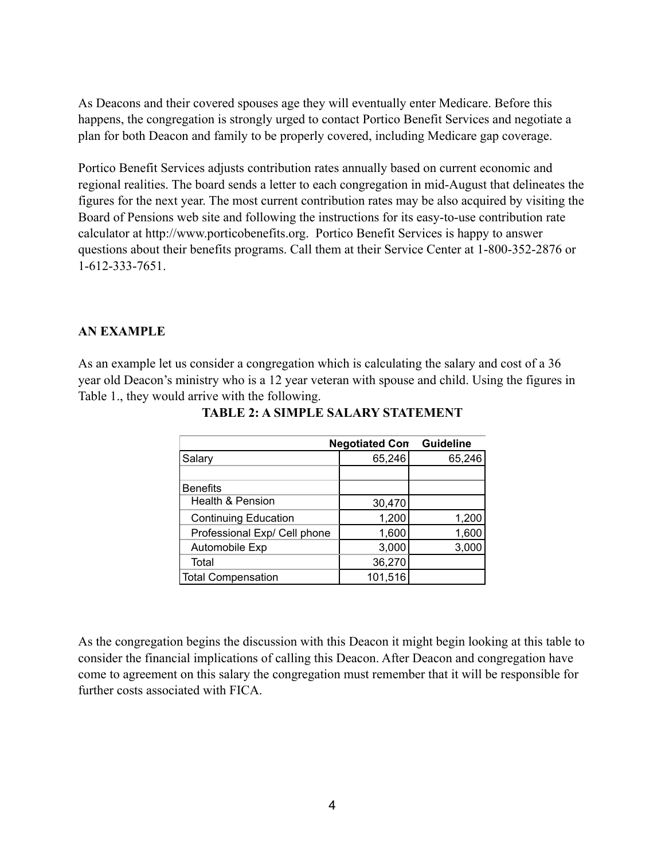As Deacons and their covered spouses age they will eventually enter Medicare. Before this happens, the congregation is strongly urged to contact Portico Benefit Services and negotiate a plan for both Deacon and family to be properly covered, including Medicare gap coverage.

Portico Benefit Services adjusts contribution rates annually based on current economic and regional realities. The board sends a letter to each congregation in mid-August that delineates the figures for the next year. The most current contribution rates may be also acquired by visiting the Board of Pensions web site and following the instructions for its easy-to-use contribution rate calculator at http://www.porticobenefits.org. Portico Benefit Services is happy to answer questions about their benefits programs. Call them at their Service Center at 1-800-352-2876 or 1-612-333-7651.

#### **AN EXAMPLE**

As an example let us consider a congregation which is calculating the salary and cost of a 36 year old Deacon's ministry who is a 12 year veteran with spouse and child. Using the figures in Table 1., they would arrive with the following.

| <b>Negotiated Con</b>        | <b>Guideline</b> |        |
|------------------------------|------------------|--------|
| Salary                       | 65,246           | 65,246 |
|                              |                  |        |
| <b>Benefits</b>              |                  |        |
| Health & Pension             | 30,470           |        |
| <b>Continuing Education</b>  | 1,200            | 1,200  |
| Professional Exp/ Cell phone | 1,600            | 1,600  |
| Automobile Exp               | 3,000            | 3,000  |
| Total                        | 36,270           |        |
| Total Compensation           | 101,516          |        |

**TABLE 2: A SIMPLE SALARY STATEMENT**

As the congregation begins the discussion with this Deacon it might begin looking at this table to consider the financial implications of calling this Deacon. After Deacon and congregation have come to agreement on this salary the congregation must remember that it will be responsible for further costs associated with FICA.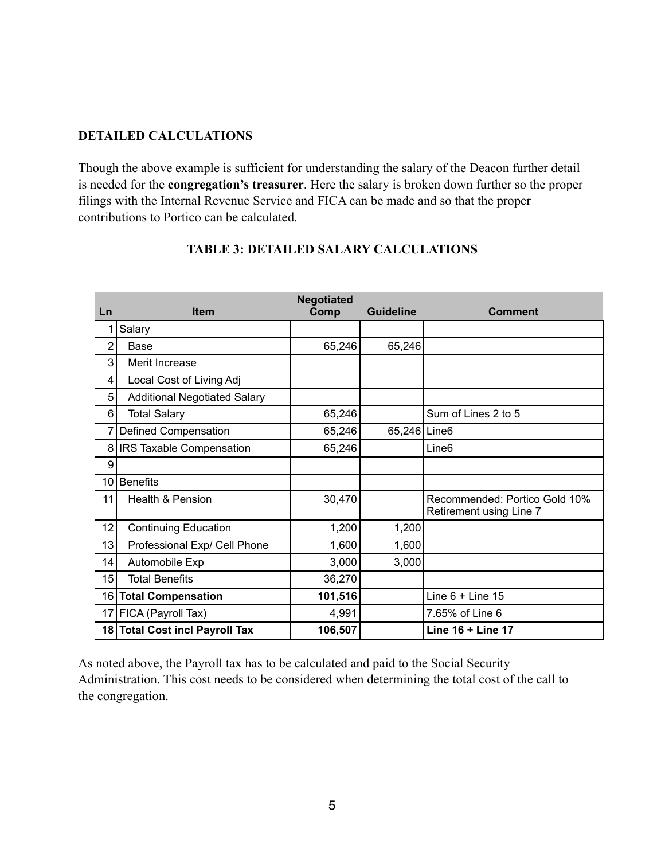#### **DETAILED CALCULATIONS**

Though the above example is sufficient for understanding the salary of the Deacon further detail is needed for the **congregation's treasurer**. Here the salary is broken down further so the proper filings with the Internal Revenue Service and FICA can be made and so that the proper contributions to Portico can be calculated.

| Ln              | <b>Item</b>                         | <b>Negotiated</b><br>Comp | Guideline    | <b>Comment</b>                                           |
|-----------------|-------------------------------------|---------------------------|--------------|----------------------------------------------------------|
|                 | Salary                              |                           |              |                                                          |
| 2               | Base                                | 65,246                    | 65,246       |                                                          |
| 3               | Merit Increase                      |                           |              |                                                          |
| 4               | Local Cost of Living Adj            |                           |              |                                                          |
| 5               | <b>Additional Negotiated Salary</b> |                           |              |                                                          |
| 6               | <b>Total Salary</b>                 | 65,246                    |              | Sum of Lines 2 to 5                                      |
| 7               | Defined Compensation                | 65,246                    | 65,246 Line6 |                                                          |
| 8               | <b>IRS Taxable Compensation</b>     | 65,246                    |              | Line <sub>6</sub>                                        |
| 9               |                                     |                           |              |                                                          |
| 10              | <b>Benefits</b>                     |                           |              |                                                          |
| 11              | <b>Health &amp; Pension</b>         | 30,470                    |              | Recommended: Portico Gold 10%<br>Retirement using Line 7 |
| 12              | <b>Continuing Education</b>         | 1,200                     | 1,200        |                                                          |
| 13              | Professional Exp/ Cell Phone        | 1,600                     | 1,600        |                                                          |
| 14              | Automobile Exp                      | 3,000                     | 3,000        |                                                          |
| 15              | <b>Total Benefits</b>               | 36,270                    |              |                                                          |
|                 | 16 Total Compensation               | 101,516                   |              | Line $6 +$ Line 15                                       |
| 17 <sup>1</sup> | FICA (Payroll Tax)                  | 4,991                     |              | 7.65% of Line 6                                          |
|                 | 18 Total Cost incl Payroll Tax      | 106,507                   |              | Line 16 + Line 17                                        |

#### **TABLE 3: DETAILED SALARY CALCULATIONS**

As noted above, the Payroll tax has to be calculated and paid to the Social Security Administration. This cost needs to be considered when determining the total cost of the call to the congregation.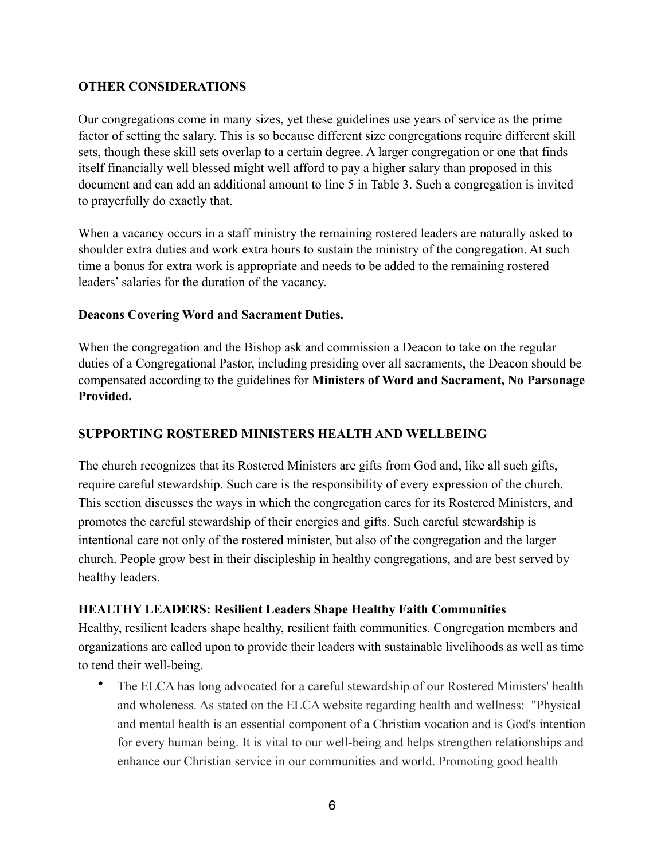#### **OTHER CONSIDERATIONS**

Our congregations come in many sizes, yet these guidelines use years of service as the prime factor of setting the salary. This is so because different size congregations require different skill sets, though these skill sets overlap to a certain degree. A larger congregation or one that finds itself financially well blessed might well afford to pay a higher salary than proposed in this document and can add an additional amount to line 5 in Table 3. Such a congregation is invited to prayerfully do exactly that.

When a vacancy occurs in a staff ministry the remaining rostered leaders are naturally asked to shoulder extra duties and work extra hours to sustain the ministry of the congregation. At such time a bonus for extra work is appropriate and needs to be added to the remaining rostered leaders' salaries for the duration of the vacancy.

#### **Deacons Covering Word and Sacrament Duties.**

When the congregation and the Bishop ask and commission a Deacon to take on the regular duties of a Congregational Pastor, including presiding over all sacraments, the Deacon should be compensated according to the guidelines for **Ministers of Word and Sacrament, No Parsonage Provided.** 

#### **SUPPORTING ROSTERED MINISTERS HEALTH AND WELLBEING**

The church recognizes that its Rostered Ministers are gifts from God and, like all such gifts, require careful stewardship. Such care is the responsibility of every expression of the church. This section discusses the ways in which the congregation cares for its Rostered Ministers, and promotes the careful stewardship of their energies and gifts. Such careful stewardship is intentional care not only of the rostered minister, but also of the congregation and the larger church. People grow best in their discipleship in healthy congregations, and are best served by healthy leaders.

#### **HEALTHY LEADERS: Resilient Leaders Shape Healthy Faith Communities**

Healthy, resilient leaders shape healthy, resilient faith communities. Congregation members and organizations are called upon to provide their leaders with sustainable livelihoods as well as time to tend their well-being.

• The ELCA has long advocated for a careful stewardship of our Rostered Ministers' health and wholeness. As stated on the ELCA website regarding health and wellness: "Physical and mental health is an essential component of a Christian vocation and is God's intention for every human being. It is vital to our well-being and helps strengthen relationships and enhance our Christian service in our communities and world. Promoting good health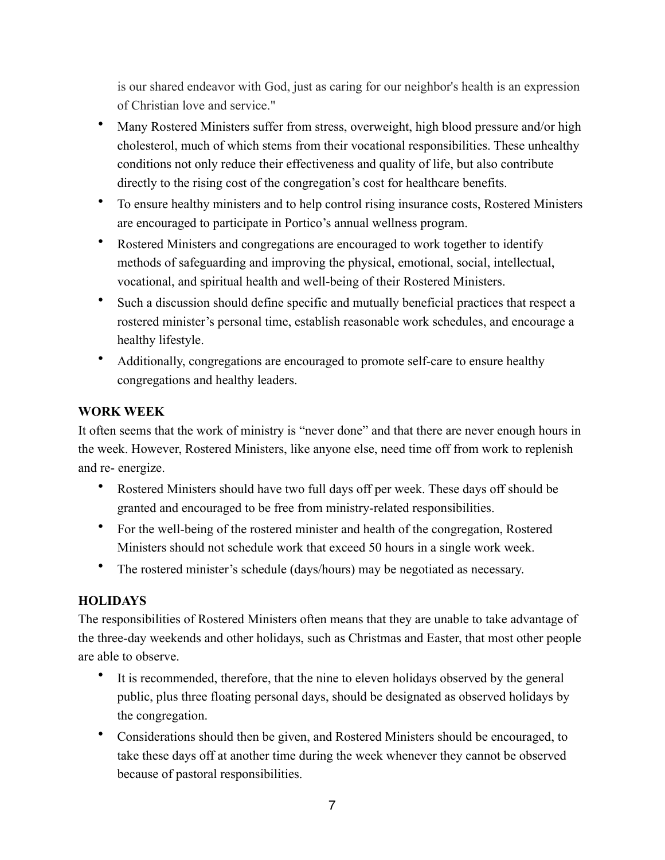is our shared endeavor with God, just as caring for our neighbor's health is an expression of Christian love and service."

- Many Rostered Ministers suffer from stress, overweight, high blood pressure and/or high cholesterol, much of which stems from their vocational responsibilities. These unhealthy conditions not only reduce their effectiveness and quality of life, but also contribute directly to the rising cost of the congregation's cost for healthcare benefits.
- To ensure healthy ministers and to help control rising insurance costs, Rostered Ministers are encouraged to participate in Portico's annual wellness program.
- Rostered Ministers and congregations are encouraged to work together to identify methods of safeguarding and improving the physical, emotional, social, intellectual, vocational, and spiritual health and well-being of their Rostered Ministers.
- Such a discussion should define specific and mutually beneficial practices that respect a rostered minister's personal time, establish reasonable work schedules, and encourage a healthy lifestyle.
- Additionally, congregations are encouraged to promote self-care to ensure healthy congregations and healthy leaders.

# **WORK WEEK**

It often seems that the work of ministry is "never done" and that there are never enough hours in the week. However, Rostered Ministers, like anyone else, need time off from work to replenish and re- energize.

- Rostered Ministers should have two full days off per week. These days off should be granted and encouraged to be free from ministry-related responsibilities.
- For the well-being of the rostered minister and health of the congregation, Rostered Ministers should not schedule work that exceed 50 hours in a single work week.
- The rostered minister's schedule (days/hours) may be negotiated as necessary.

# **HOLIDAYS**

The responsibilities of Rostered Ministers often means that they are unable to take advantage of the three-day weekends and other holidays, such as Christmas and Easter, that most other people are able to observe.

- It is recommended, therefore, that the nine to eleven holidays observed by the general public, plus three floating personal days, should be designated as observed holidays by the congregation.
- Considerations should then be given, and Rostered Ministers should be encouraged, to take these days off at another time during the week whenever they cannot be observed because of pastoral responsibilities.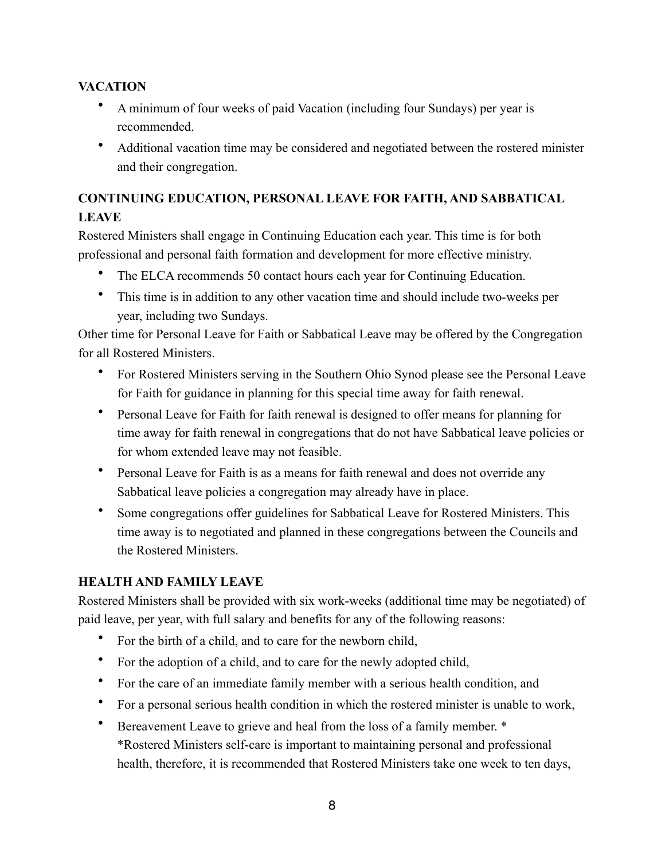# **VACATION**

- A minimum of four weeks of paid Vacation (including four Sundays) per year is recommended.
- Additional vacation time may be considered and negotiated between the rostered minister and their congregation.

# **CONTINUING EDUCATION, PERSONAL LEAVE FOR FAITH, AND SABBATICAL LEAVE**

Rostered Ministers shall engage in Continuing Education each year. This time is for both professional and personal faith formation and development for more effective ministry.

- The ELCA recommends 50 contact hours each year for Continuing Education.
- This time is in addition to any other vacation time and should include two-weeks per year, including two Sundays.

Other time for Personal Leave for Faith or Sabbatical Leave may be offered by the Congregation for all Rostered Ministers.

- For Rostered Ministers serving in the Southern Ohio Synod please see the Personal Leave for Faith for guidance in planning for this special time away for faith renewal.
- Personal Leave for Faith for faith renewal is designed to offer means for planning for time away for faith renewal in congregations that do not have Sabbatical leave policies or for whom extended leave may not feasible.
- Personal Leave for Faith is as a means for faith renewal and does not override any Sabbatical leave policies a congregation may already have in place.
- Some congregations offer guidelines for Sabbatical Leave for Rostered Ministers. This time away is to negotiated and planned in these congregations between the Councils and the Rostered Ministers.

# **HEALTH AND FAMILY LEAVE**

Rostered Ministers shall be provided with six work-weeks (additional time may be negotiated) of paid leave, per year, with full salary and benefits for any of the following reasons:

- For the birth of a child, and to care for the newborn child,
- For the adoption of a child, and to care for the newly adopted child,
- For the care of an immediate family member with a serious health condition, and
- For a personal serious health condition in which the rostered minister is unable to work,
- Bereavement Leave to grieve and heal from the loss of a family member. \* \*Rostered Ministers self-care is important to maintaining personal and professional health, therefore, it is recommended that Rostered Ministers take one week to ten days,